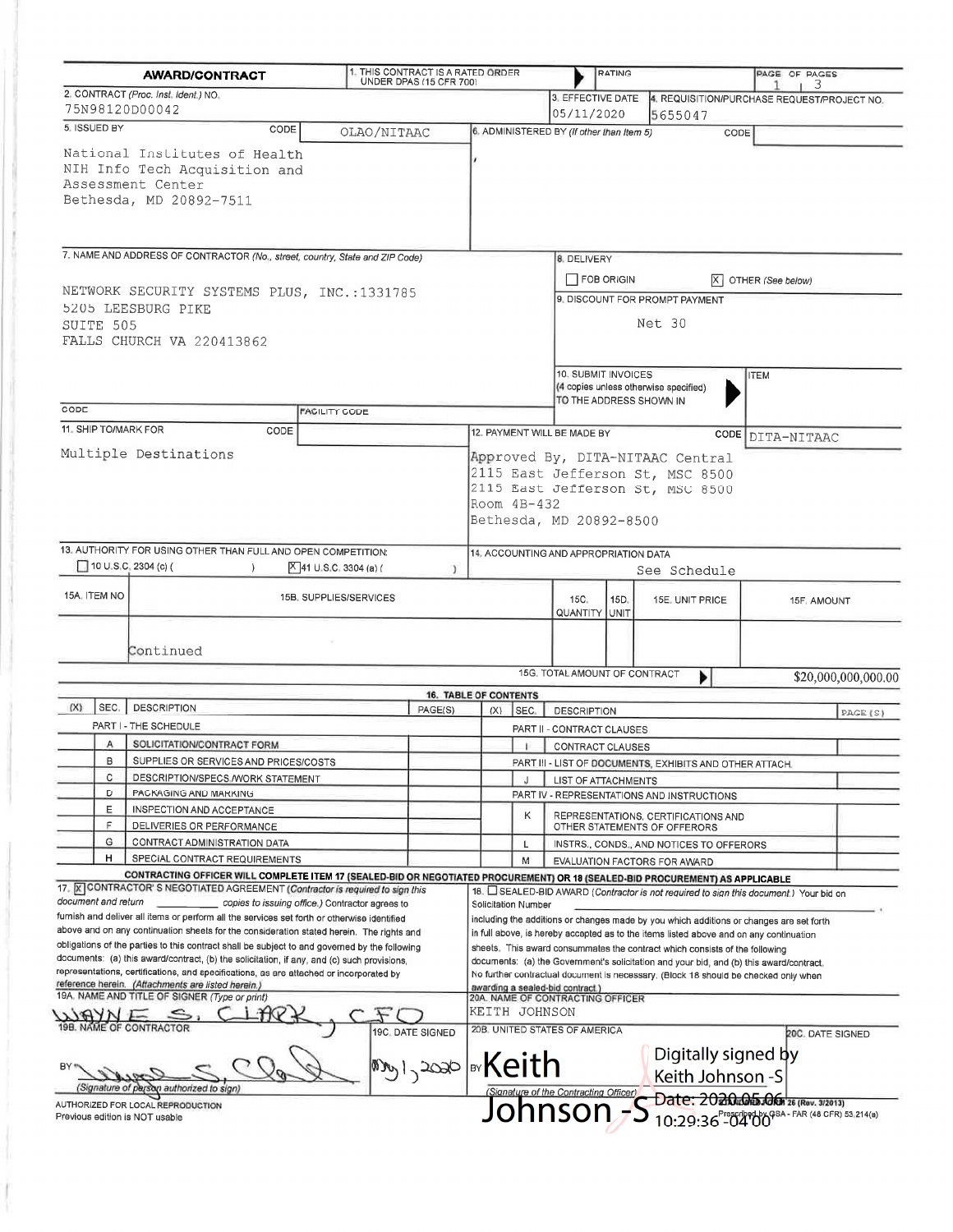| <b>AWARD/CONTRACT</b>                                                                                                                                                                     | 1. THIS CONTRACT IS A RATED ORDER<br>UNDER DPAS (15 CFR 700) |                                                                                                                                                                        |                                                                                                        | <b>RATING</b>                                                            |                                                                                                          | PAGE OF PAGES    |                     |  |  |
|-------------------------------------------------------------------------------------------------------------------------------------------------------------------------------------------|--------------------------------------------------------------|------------------------------------------------------------------------------------------------------------------------------------------------------------------------|--------------------------------------------------------------------------------------------------------|--------------------------------------------------------------------------|----------------------------------------------------------------------------------------------------------|------------------|---------------------|--|--|
| 2. CONTRACT (Proc. Inst. Ident.) NO.                                                                                                                                                      |                                                              |                                                                                                                                                                        | 3. EFFECTIVE DATE                                                                                      |                                                                          | 4. REQUISITION/PURCHASE REQUEST/PROJECT NO.                                                              | 3                |                     |  |  |
| 75N98120D00042                                                                                                                                                                            |                                                              |                                                                                                                                                                        | 05/11/2020                                                                                             |                                                                          | 5655047                                                                                                  |                  |                     |  |  |
| 5. ISSUED BY<br>CODE                                                                                                                                                                      | OLAO/NITAAC                                                  |                                                                                                                                                                        | 6. ADMINISTERED BY (If other than Item 5)                                                              |                                                                          | CODE                                                                                                     |                  |                     |  |  |
| National Institutes of Health<br>NIH Info Tech Acquisition and<br>Assessment Center<br>Bethesda, MD 20892-7511                                                                            |                                                              |                                                                                                                                                                        |                                                                                                        |                                                                          |                                                                                                          |                  |                     |  |  |
|                                                                                                                                                                                           |                                                              |                                                                                                                                                                        |                                                                                                        |                                                                          |                                                                                                          |                  |                     |  |  |
| 7. NAME AND ADDRESS OF CONTRACTOR (No., street, country, State and ZIP Code)                                                                                                              |                                                              |                                                                                                                                                                        | <b>8. DELIVERY</b>                                                                                     |                                                                          |                                                                                                          |                  |                     |  |  |
| NETWORK SECURITY SYSTEMS PLUS, INC.:1331785<br>5205 LEESBURG PIKE<br>SUITE 505<br>FALLS CHURCH VA 220413862                                                                               |                                                              |                                                                                                                                                                        |                                                                                                        | $\Box$ FOB ORIGIN<br>$X$ OTHER (See below)                               |                                                                                                          |                  |                     |  |  |
|                                                                                                                                                                                           |                                                              |                                                                                                                                                                        | 9. DISCOUNT FOR PROMPT PAYMENT<br>Net 30                                                               |                                                                          |                                                                                                          |                  |                     |  |  |
|                                                                                                                                                                                           |                                                              |                                                                                                                                                                        | 10. SUBMIT INVOICES<br><b>ITEM</b><br>(4 copies unless otherwise specified)<br>TO THE ADDRESS SHOWN IN |                                                                          |                                                                                                          |                  |                     |  |  |
| CODE                                                                                                                                                                                      | <b>FACILITY CODE</b>                                         |                                                                                                                                                                        |                                                                                                        |                                                                          |                                                                                                          |                  |                     |  |  |
| 11. SHIP TO/MARK FOR<br>CODE                                                                                                                                                              |                                                              |                                                                                                                                                                        | 12. PAYMENT WILL BE MADE BY                                                                            |                                                                          |                                                                                                          | CODE DITA-NITAAC |                     |  |  |
| Multiple Destinations                                                                                                                                                                     |                                                              | Room $4B-432$                                                                                                                                                          | Bethesda, MD 20892-8500                                                                                |                                                                          | Approved By, DITA-NITAAC Central<br>2115 East Jefferson St, MSC 8500<br>2115 East Jefferson St, MSC 8500 |                  |                     |  |  |
| 13. AUTHORITY FOR USING OTHER THAN FULL AND OPEN COMPETITION:                                                                                                                             |                                                              |                                                                                                                                                                        | 14. ACCOUNTING AND APPROPRIATION DATA                                                                  |                                                                          |                                                                                                          |                  |                     |  |  |
| 10 U.S.C. 2304 (c) (<br>$\lambda$                                                                                                                                                         | $[X]$ 41 U.S.C. 3304 (a) (                                   | J.                                                                                                                                                                     |                                                                                                        |                                                                          | See Schedule                                                                                             |                  |                     |  |  |
| 15A, ITEM NO                                                                                                                                                                              | 15B. SUPPLIES/SERVICES                                       |                                                                                                                                                                        | 15C <sub>1</sub><br><b>QUANTITY UNIT</b>                                                               | 15D.                                                                     | 15E, UNIT PRICE                                                                                          | 15F, AMOUNT      |                     |  |  |
|                                                                                                                                                                                           |                                                              |                                                                                                                                                                        |                                                                                                        |                                                                          |                                                                                                          |                  |                     |  |  |
| Continued                                                                                                                                                                                 |                                                              |                                                                                                                                                                        |                                                                                                        |                                                                          |                                                                                                          |                  |                     |  |  |
|                                                                                                                                                                                           |                                                              |                                                                                                                                                                        | 15G. TOTAL AMOUNT OF CONTRACT                                                                          |                                                                          | Þ                                                                                                        |                  | \$20,000,000,000.00 |  |  |
| (X)<br>SEC.                                                                                                                                                                               |                                                              | <b>16. TABLE OF CONTENTS</b>                                                                                                                                           |                                                                                                        |                                                                          |                                                                                                          |                  |                     |  |  |
| <b>DESCRIPTION</b>                                                                                                                                                                        | PAGE(S)                                                      | SEC.<br>(X)                                                                                                                                                            | <b>DESCRIPTION</b>                                                                                     |                                                                          |                                                                                                          |                  | PAGE (S)            |  |  |
| PART I - THE SCHEDULE                                                                                                                                                                     |                                                              |                                                                                                                                                                        | PART II - CONTRACT CLAUSES                                                                             |                                                                          |                                                                                                          |                  |                     |  |  |
| SOLICITATION/CONTRACT FORM<br>А                                                                                                                                                           |                                                              | J.                                                                                                                                                                     | CONTRACT CLAUSES                                                                                       |                                                                          |                                                                                                          |                  |                     |  |  |
| в<br>SUPPLIES OR SERVICES AND PRICES/COSTS                                                                                                                                                |                                                              |                                                                                                                                                                        |                                                                                                        |                                                                          | PART III - LIST OF DOCUMENTS, EXHIBITS AND OTHER ATTACH.                                                 |                  |                     |  |  |
| с<br>DESCRIPTION/SPECS / WORK STATEMENT<br>D<br>PACKAGING AND MARKING                                                                                                                     |                                                              | J                                                                                                                                                                      | LIST OF ATTACHMENTS                                                                                    |                                                                          |                                                                                                          |                  |                     |  |  |
| E<br>INSPECTION AND ACCEPTANCE                                                                                                                                                            |                                                              |                                                                                                                                                                        |                                                                                                        |                                                                          | PART IV - REPRESENTATIONS AND INSTRUCTIONS                                                               |                  |                     |  |  |
| F                                                                                                                                                                                         |                                                              | Κ                                                                                                                                                                      |                                                                                                        |                                                                          | REPRESENTATIONS, CERTIFICATIONS AND                                                                      |                  |                     |  |  |
| DELIVERIES OR PERFORMANCE<br>G<br>CONTRACT ADMINISTRATION DATA                                                                                                                            |                                                              |                                                                                                                                                                        |                                                                                                        | OTHER STATEMENTS OF OFFERORS                                             |                                                                                                          |                  |                     |  |  |
| H<br>SPECIAL CONTRACT REQUIREMENTS                                                                                                                                                        |                                                              | L<br>M                                                                                                                                                                 |                                                                                                        | INSTRS., CONDS., AND NOTICES TO OFFERORS<br>EVALUATION FACTORS FOR AWARD |                                                                                                          |                  |                     |  |  |
| CONTRACTING OFFICER WILL COMPLETE ITEM 17 (SEALED-BID OR NEGOTIATED PROCUREMENT) OR 18 (SEALED-BID PROCUREMENT) AS APPLICABLE                                                             |                                                              |                                                                                                                                                                        |                                                                                                        |                                                                          |                                                                                                          |                  |                     |  |  |
| 17. X CONTRACTOR' S NEGOTIATED AGREEMENT (Contractor is required to sign this                                                                                                             |                                                              |                                                                                                                                                                        |                                                                                                        |                                                                          | 18. SEALED-BID AWARD (Contractor is not required to sign this document.) Your bid on                     |                  |                     |  |  |
| document and return<br>copies to issuing office.) Contractor agrees to                                                                                                                    |                                                              | Solicitation Number                                                                                                                                                    |                                                                                                        |                                                                          |                                                                                                          |                  |                     |  |  |
| furnish and deliver all items or perform all the services set forth or otherwise identified                                                                                               |                                                              | including the additions or changes made by you which additions or changes are set forth                                                                                |                                                                                                        |                                                                          |                                                                                                          |                  |                     |  |  |
| above and on any continuation sheets for the consideration stated herein. The rights and<br>obligations of the parties to this contract shall be subject to and governed by the following |                                                              |                                                                                                                                                                        |                                                                                                        |                                                                          | in full above, is hereby accepted as to the items listed above and on any continuation                   |                  |                     |  |  |
| documents: (a) this award/contract, (b) the solicitation, if any, and (c) such provisions,                                                                                                |                                                              | sheets. This award consummates the contract which consists of the following<br>documents: (a) the Government's solicitation and your bid, and (b) this award/contract. |                                                                                                        |                                                                          |                                                                                                          |                  |                     |  |  |
| representations, certifications, and specifications, as are attached or incorporated by<br>No further contractual document is necessary. (Block 18 should be checked only when            |                                                              |                                                                                                                                                                        |                                                                                                        |                                                                          |                                                                                                          |                  |                     |  |  |
| reference herein. (Attachments are listed herein.)                                                                                                                                        |                                                              |                                                                                                                                                                        | awarding a sealed-bid contract.)                                                                       |                                                                          |                                                                                                          |                  |                     |  |  |
| 19A. NAME AND TITLE OF SIGNER (Type or print)                                                                                                                                             |                                                              | KEITH JOHNSON                                                                                                                                                          | 20A. NAME OF CONTRACTING OFFICER                                                                       |                                                                          |                                                                                                          |                  |                     |  |  |
| 19B. NAME OF CONTRACTOR                                                                                                                                                                   |                                                              |                                                                                                                                                                        | 20B. UNITED STATES OF AMERICA                                                                          |                                                                          |                                                                                                          |                  |                     |  |  |
|                                                                                                                                                                                           | 19C. DATE SIGNED                                             |                                                                                                                                                                        |                                                                                                        |                                                                          |                                                                                                          |                  | 20C. DATE SIGNED    |  |  |
|                                                                                                                                                                                           | $ m_{\rm y1} \rangle$ 2020   87 ${\sf Keith}$                |                                                                                                                                                                        |                                                                                                        |                                                                          | Digitally signed by<br>Keith Johnson -S                                                                  |                  |                     |  |  |
| Signature of parson authorized to sign)                                                                                                                                                   |                                                              |                                                                                                                                                                        | (Signature of the Contracting Officer)                                                                 | Date: 2020.05.06. 26 (Rev. 3/2013)                                       |                                                                                                          |                  |                     |  |  |
| AUTHORIZED FOR LOCAL REPRODUCTION<br>Previous edition is NOT usable                                                                                                                       |                                                              |                                                                                                                                                                        | Johnson, S                                                                                             |                                                                          | $10:29:36$ -04 00<br>$^{8}$ -04 00<br>$^{8}$ - FAR (48 GFR) 53,214(a)                                    |                  |                     |  |  |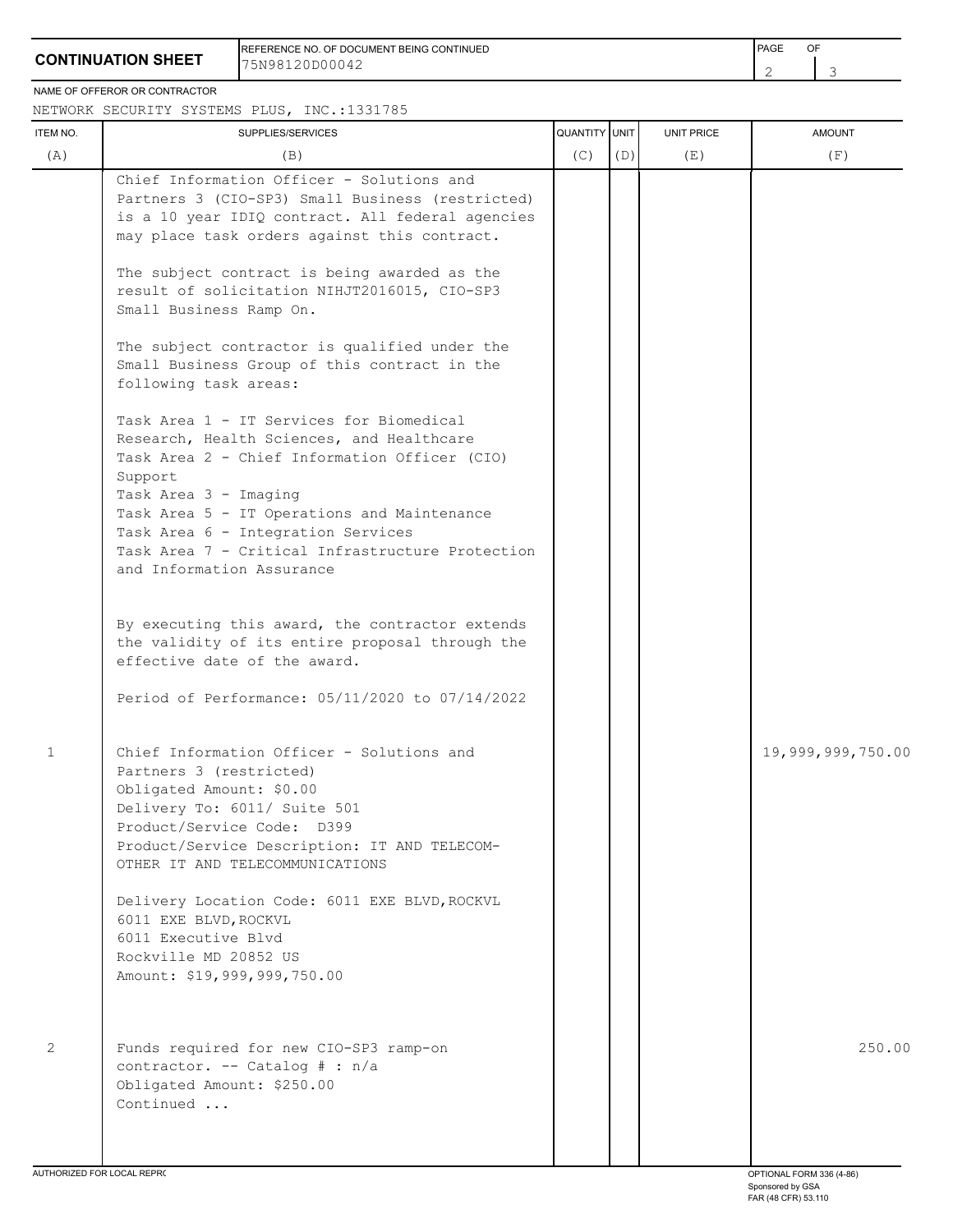## **CONTINUATION SHEET**

REFERENCE NO. OF DOCUMENT BEING CONTINUED **FRAME OF A SECONT ASSAULT A SECONT ASSAULT** PAGE OF 75N98120D00042

2 3

#### NAME OF OFFEROR OR CONTRACTOR

#### NETWORK SECURITY SYSTEMS PLUS, INC.:1331785

| ITEM NO. | SUPPLIES/SERVICES                                                                                                                                                                                                                                                                                                                                | QUANTITY UNIT |     | UNIT PRICE | <b>AMOUNT</b>     |
|----------|--------------------------------------------------------------------------------------------------------------------------------------------------------------------------------------------------------------------------------------------------------------------------------------------------------------------------------------------------|---------------|-----|------------|-------------------|
| (A)      | (B)                                                                                                                                                                                                                                                                                                                                              | (C)           | (D) | (E)        | (F)               |
|          | Chief Information Officer - Solutions and<br>Partners 3 (CIO-SP3) Small Business (restricted)<br>is a 10 year IDIQ contract. All federal agencies<br>may place task orders against this contract.                                                                                                                                                |               |     |            |                   |
|          | The subject contract is being awarded as the<br>result of solicitation NIHJT2016015, CIO-SP3<br>Small Business Ramp On.                                                                                                                                                                                                                          |               |     |            |                   |
|          | The subject contractor is qualified under the<br>Small Business Group of this contract in the<br>following task areas:                                                                                                                                                                                                                           |               |     |            |                   |
|          | Task Area 1 - IT Services for Biomedical<br>Research, Health Sciences, and Healthcare<br>Task Area 2 - Chief Information Officer (CIO)<br>Support<br>Task Area 3 - Imaging<br>Task Area 5 - IT Operations and Maintenance<br>Task Area 6 - Integration Services<br>Task Area 7 - Critical Infrastructure Protection<br>and Information Assurance |               |     |            |                   |
|          | By executing this award, the contractor extends<br>the validity of its entire proposal through the<br>effective date of the award.                                                                                                                                                                                                               |               |     |            |                   |
|          | Period of Performance: 05/11/2020 to 07/14/2022                                                                                                                                                                                                                                                                                                  |               |     |            |                   |
| 1        | Chief Information Officer - Solutions and<br>Partners 3 (restricted)<br>Obligated Amount: \$0.00<br>Delivery To: 6011/ Suite 501<br>Product/Service Code: D399<br>Product/Service Description: IT AND TELECOM-<br>OTHER IT AND TELECOMMUNICATIONS                                                                                                |               |     |            | 19,999,999,750.00 |
|          | Delivery Location Code: 6011 EXE BLVD, ROCKVL<br>6011 EXE BLVD, ROCKVL<br>6011 Executive Blvd<br>Rockville MD 20852 US<br>Amount: \$19,999,999,750.00                                                                                                                                                                                            |               |     |            |                   |
| 2        | Funds required for new CIO-SP3 ramp-on<br>contractor. -- Catalog # : n/a<br>Obligated Amount: \$250.00<br>Continued                                                                                                                                                                                                                              |               |     |            | 250.00            |